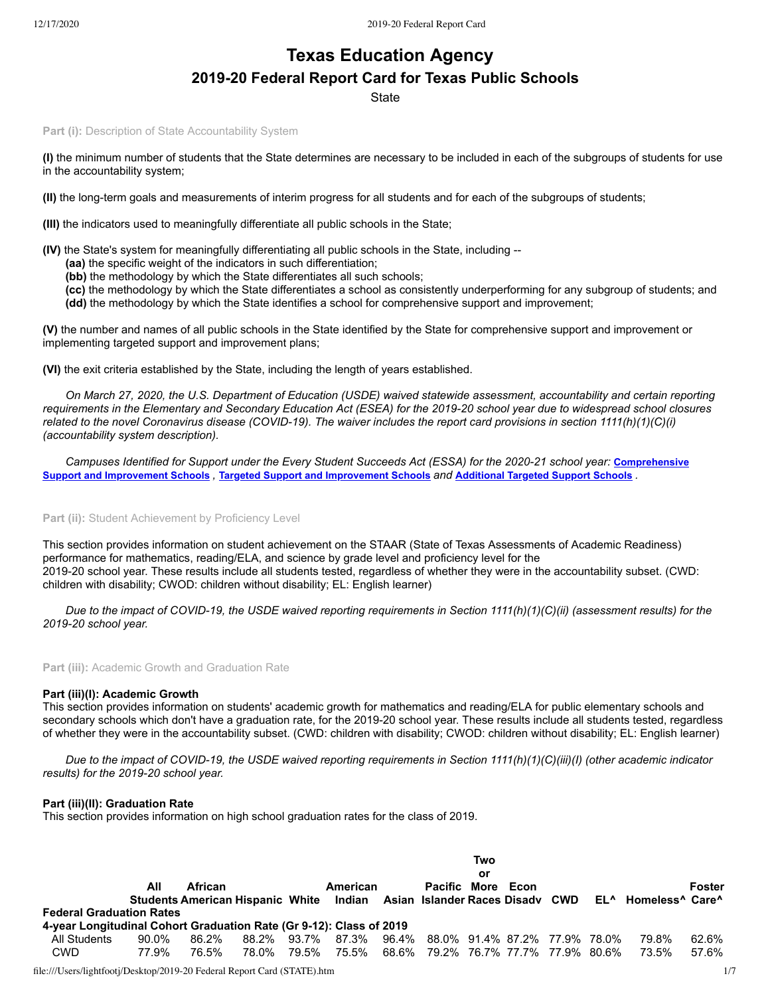# **Texas Education Agency 2019-20 Federal Report Card for Texas Public Schools**

**State** 

Part (i): Description of State Accountability System

**(I)** the minimum number of students that the State determines are necessary to be included in each of the subgroups of students for use in the accountability system;

**(II)** the long-term goals and measurements of interim progress for all students and for each of the subgroups of students;

**(III)** the indicators used to meaningfully differentiate all public schools in the State;

**(IV)** the State's system for meaningfully differentiating all public schools in the State, including --

- **(aa)** the specific weight of the indicators in such differentiation;
- **(bb)** the methodology by which the State differentiates all such schools;
- **(cc)** the methodology by which the State differentiates a school as consistently underperforming for any subgroup of students; and
- **(dd)** the methodology by which the State identifies a school for comprehensive support and improvement;

**(V)** the number and names of all public schools in the State identified by the State for comprehensive support and improvement or implementing targeted support and improvement plans;

**(VI)** the exit criteria established by the State, including the length of years established.

*On March 27, 2020, the U.S. Department of Education (USDE) waived statewide assessment, accountability and certain reporting requirements in the Elementary and Secondary Education Act (ESEA) for the 2019-20 school year due to widespread school closures related to the novel Coronavirus disease (COVID-19). The waiver includes the report card provisions in section 1111(h)(1)(C)(i) (accountability system description).*

*[Campuses Identified for Support under the Every Student Succeeds Act \(ESSA\) for the 2020-21 school year:](https://tea.texas.gov/sites/default/files/comprehensive_support_2020.xlsx)* **Comprehensive** Support and [Improvement](https://tea.texas.gov/sites/default/files/targeted_support_2020.xlsx) Schools , Targeted Support and Improvement Schools and [Additional](https://tea.texas.gov/sites/default/files/additional_targeted_support_2020.xlsx) Targeted Support Schools .

## Part (ii): Student Achievement by Proficiency Level

This section provides information on student achievement on the STAAR (State of Texas Assessments of Academic Readiness) performance for mathematics, reading/ELA, and science by grade level and proficiency level for the 2019-20 school year. These results include all students tested, regardless of whether they were in the accountability subset. (CWD: children with disability; CWOD: children without disability; EL: English learner)

*Due to the impact of COVID-19, the USDE waived reporting requirements in Section 1111(h)(1)(C)(ii) (assessment results) for the 2019-20 school year.*

**Part (iii):** Academic Growth and Graduation Rate

## **Part (iii)(I): Academic Growth**

This section provides information on students' academic growth for mathematics and reading/ELA for public elementary schools and secondary schools which don't have a graduation rate, for the 2019-20 school year. These results include all students tested, regardless of whether they were in the accountability subset. (CWD: children with disability; CWOD: children without disability; EL: English learner)

*Due to the impact of COVID-19, the USDE waived reporting requirements in Section 1111(h)(1)(C)(iii)(I) (other academic indicator results) for the 2019-20 school year.*

#### **Part (iii)(II): Graduation Rate**

This section provides information on high school graduation rates for the class of 2019.

|                                                                     |       |                                         |       |       |          |                                     | Two |      |  |                     |        |
|---------------------------------------------------------------------|-------|-----------------------------------------|-------|-------|----------|-------------------------------------|-----|------|--|---------------------|--------|
|                                                                     |       |                                         |       |       |          |                                     | or  |      |  |                     |        |
|                                                                     | All   | <b>African</b>                          |       |       | American | <b>Pacific More</b>                 |     | Econ |  |                     | Foster |
|                                                                     |       | Students American Hispanic White Indian |       |       |          | Asian Islander Races Disadv CWD     |     |      |  | EL^ Homeless^ Care^ |        |
| <b>Federal Graduation Rates</b>                                     |       |                                         |       |       |          |                                     |     |      |  |                     |        |
| 4-year Longitudinal Cohort Graduation Rate (Gr 9-12): Class of 2019 |       |                                         |       |       |          |                                     |     |      |  |                     |        |
| All Students                                                        | 90.0% | 86.2%                                   | 88.2% | 93.7% | 87.3%    | 96.4% 88.0% 91.4% 87.2% 77.9% 78.0% |     |      |  | 79.8%               | 62.6%  |
| CWD                                                                 | 77.9% | 76.5%                                   | 78.0% | 79.5% | 75.5%    | 68.6% 79.2% 76.7% 77.7% 77.9% 80.6% |     |      |  | 73.5%               | 57.6%  |
|                                                                     |       |                                         |       |       |          |                                     |     |      |  |                     |        |

file:///Users/lightfootj/Desktop/2019-20 Federal Report Card (STATE).htm 1/7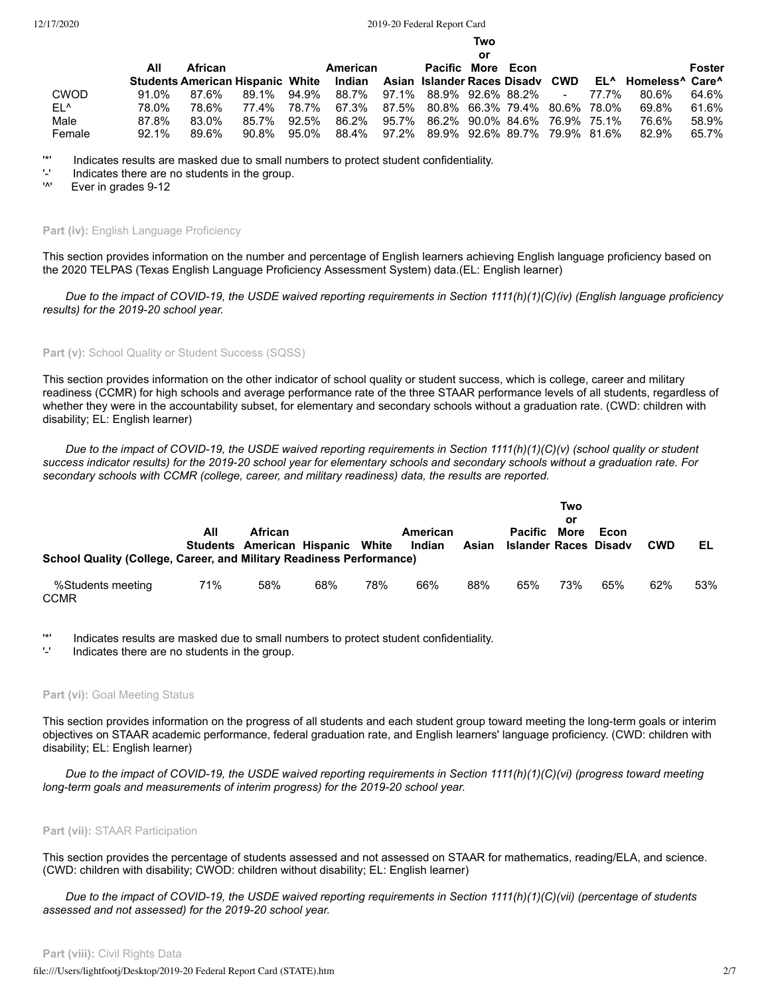**Two**

|        |          |         |       |       |                                                                         |       |                                     | or |        |       |                                                         |        |
|--------|----------|---------|-------|-------|-------------------------------------------------------------------------|-------|-------------------------------------|----|--------|-------|---------------------------------------------------------|--------|
|        | All      | African |       |       | American                                                                |       | Pacific More Econ                   |    |        |       |                                                         | Foster |
|        |          |         |       |       | Students American Hispanic White Indian Asian Islander Races Disady CWD |       |                                     |    |        |       | EL <sup>A</sup> Homeless <sup>A</sup> Care <sup>A</sup> |        |
| CWOD   | 91.0%    | 87.6%   | 89.1% | 94.9% | 88.7% 97.1% 88.9% 92.6% 88.2%                                           |       |                                     |    | $\sim$ | 77.7% | 80.6%                                                   | 64.6%  |
| EL^    | 78.0%    | 78.6%   | 77.4% | 78.7% | 67.3%                                                                   |       | 87.5% 80.8% 66.3% 79.4% 80.6% 78.0% |    |        |       | 69.8%                                                   | 61.6%  |
| Male   | 87.8%    | 83.0%   | 85.7% | 92.5% | 86.2%                                                                   | 95.7% | 86.2% 90.0% 84.6% 76.9% 75.1%       |    |        |       | 76.6%                                                   | 58.9%  |
| Female | $92.1\%$ | 89.6%   | 90.8% | 95.0% | 88.4%                                                                   |       | 97.2% 89.9% 92.6% 89.7% 79.9% 81.6% |    |        |       | 82.9%                                                   | 65.7%  |

'\*' Indicates results are masked due to small numbers to protect student confidentiality.

- $'$ -' Indicates there are no students in the group.
- Ever in grades 9-12

#### Part (iv): English Language Proficiency

This section provides information on the number and percentage of English learners achieving English language proficiency based on the 2020 TELPAS (Texas English Language Proficiency Assessment System) data.(EL: English learner)

*Due to the impact of COVID-19, the USDE waived reporting requirements in Section 1111(h)(1)(C)(iv) (English language proficiency results) for the 2019-20 school year.*

# Part (v): School Quality or Student Success (SQSS)

This section provides information on the other indicator of school quality or student success, which is college, career and military readiness (CCMR) for high schools and average performance rate of the three STAAR performance levels of all students, regardless of whether they were in the accountability subset, for elementary and secondary schools without a graduation rate. (CWD: children with disability; EL: English learner)

*Due to the impact of COVID-19, the USDE waived reporting requirements in Section 1111(h)(1)(C)(v) (school quality or student success indicator results) for the 2019-20 school year for elementary schools and secondary schools without a graduation rate. For secondary schools with CCMR (college, career, and military readiness) data, the results are reported.*

|                                                                      |     |                                             |     |     |                    |       |                                                | Two<br>or |      |            |     |
|----------------------------------------------------------------------|-----|---------------------------------------------|-----|-----|--------------------|-------|------------------------------------------------|-----------|------|------------|-----|
| School Quality (College, Career, and Military Readiness Performance) | All | African<br>Students American Hispanic White |     |     | American<br>Indian | Asian | <b>Pacific</b><br><b>Islander Races Disady</b> | More      | Econ | <b>CWD</b> | EL  |
| %Students meeting<br><b>CCMR</b>                                     | 71% | 58%                                         | 68% | 78% | 66%                | 88%   | 65%                                            | 73%       | 65%  | 62%        | 53% |

'\*' Indicates results are masked due to small numbers to protect student confidentiality.

Indicates there are no students in the group.

#### Part (vi): Goal Meeting Status

This section provides information on the progress of all students and each student group toward meeting the long-term goals or interim objectives on STAAR academic performance, federal graduation rate, and English learners' language proficiency. (CWD: children with disability; EL: English learner)

*Due to the impact of COVID-19, the USDE waived reporting requirements in Section 1111(h)(1)(C)(vi) (progress toward meeting long-term goals and measurements of interim progress) for the 2019-20 school year.*

# **Part (vii):** STAAR Participation

This section provides the percentage of students assessed and not assessed on STAAR for mathematics, reading/ELA, and science. (CWD: children with disability; CWOD: children without disability; EL: English learner)

*Due to the impact of COVID-19, the USDE waived reporting requirements in Section 1111(h)(1)(C)(vii) (percentage of students assessed and not assessed) for the 2019-20 school year.*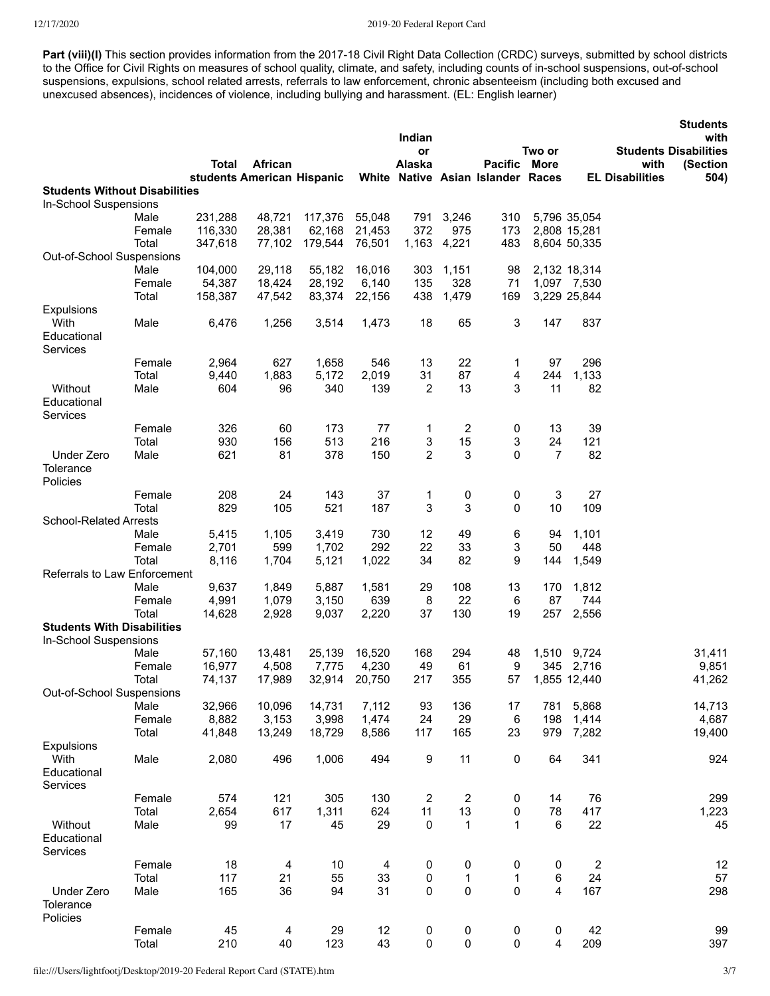Part (viii)(I) This section provides information from the 2017-18 Civil Right Data Collection (CRDC) surveys, submitted by school districts to the Office for Civil Rights on measures of school quality, climate, and safety, including counts of in-school suspensions, out-of-school suspensions, expulsions, school related arrests, referrals to law enforcement, chronic absenteeism (including both excused and unexcused absences), incidences of violence, including bullying and harassment. (EL: English learner)

|                                      |                 |                   |                            |                  |                 |                         |                         |                                   |                 |                             |                        | <b>Students</b>                      |
|--------------------------------------|-----------------|-------------------|----------------------------|------------------|-----------------|-------------------------|-------------------------|-----------------------------------|-----------------|-----------------------------|------------------------|--------------------------------------|
|                                      |                 |                   |                            |                  |                 | Indian<br>or            |                         |                                   | Two or          |                             |                        | with<br><b>Students Disabilities</b> |
|                                      |                 | <b>Total</b>      | African                    |                  |                 | Alaska                  |                         | <b>Pacific</b>                    | More            |                             | with                   | (Section                             |
| <b>Students Without Disabilities</b> |                 |                   | students American Hispanic |                  |                 |                         |                         | White Native Asian Islander Races |                 |                             | <b>EL Disabilities</b> | 504)                                 |
| In-School Suspensions                |                 |                   |                            |                  |                 |                         |                         |                                   |                 |                             |                        |                                      |
|                                      | Male            | 231,288           | 48,721                     | 117,376          | 55,048          | 791                     | 3,246                   | 310                               |                 | 5,796 35,054                |                        |                                      |
|                                      | Female          | 116,330           | 28,381                     | 62,168           | 21,453          | 372                     | 975                     | 173                               |                 | 2,808 15,281                |                        |                                      |
|                                      | Total           | 347,618           | 77,102                     | 179,544          | 76,501          | 1,163                   | 4,221                   | 483                               |                 | 8,604 50,335                |                        |                                      |
| Out-of-School Suspensions            |                 |                   |                            |                  |                 |                         |                         |                                   |                 |                             |                        |                                      |
|                                      | Male            | 104,000           | 29,118                     | 55,182           | 16,016          | 303                     | 1,151                   | 98                                |                 | 2,132 18,314                |                        |                                      |
|                                      | Female<br>Total | 54,387<br>158,387 | 18,424<br>47,542           | 28,192<br>83,374 | 6,140<br>22,156 | 135<br>438              | 328<br>1,479            | 71<br>169                         |                 | 1,097 7,530<br>3,229 25,844 |                        |                                      |
| Expulsions                           |                 |                   |                            |                  |                 |                         |                         |                                   |                 |                             |                        |                                      |
| With                                 | Male            | 6,476             | 1,256                      | 3,514            | 1,473           | 18                      | 65                      | 3                                 | 147             | 837                         |                        |                                      |
| Educational                          |                 |                   |                            |                  |                 |                         |                         |                                   |                 |                             |                        |                                      |
| Services                             |                 |                   |                            |                  |                 |                         |                         |                                   |                 |                             |                        |                                      |
|                                      | Female          | 2,964             | 627                        | 1,658            | 546             | 13                      | 22                      | 1                                 | 97              | 296                         |                        |                                      |
|                                      | Total           | 9,440             | 1,883                      | 5,172            | 2,019           | 31                      | 87                      | 4                                 | 244             | 1,133                       |                        |                                      |
| Without                              | Male            | 604               | 96                         | 340              | 139             | 2                       | 13                      | 3                                 | 11              | 82                          |                        |                                      |
| Educational                          |                 |                   |                            |                  |                 |                         |                         |                                   |                 |                             |                        |                                      |
| Services                             |                 |                   |                            |                  |                 |                         |                         |                                   |                 |                             |                        |                                      |
|                                      | Female          | 326               | 60                         | 173              | 77              | 1                       | 2                       | 0                                 | 13              | 39                          |                        |                                      |
|                                      | Total           | 930               | 156                        | 513              | 216             | 3<br>$\overline{2}$     | 15<br>3                 | 3<br>0                            | 24<br>7         | 121<br>82                   |                        |                                      |
| Under Zero<br>Tolerance              | Male            | 621               | 81                         | 378              | 150             |                         |                         |                                   |                 |                             |                        |                                      |
| Policies                             |                 |                   |                            |                  |                 |                         |                         |                                   |                 |                             |                        |                                      |
|                                      | Female          | 208               | 24                         | 143              | 37              | 1                       | 0                       | 0                                 | 3               | 27                          |                        |                                      |
|                                      | Total           | 829               | 105                        | 521              | 187             | 3                       | 3                       | 0                                 | 10              | 109                         |                        |                                      |
| <b>School-Related Arrests</b>        |                 |                   |                            |                  |                 |                         |                         |                                   |                 |                             |                        |                                      |
|                                      | Male            | 5,415             | 1,105                      | 3,419            | 730             | 12                      | 49                      | 6                                 | 94              | 1,101                       |                        |                                      |
|                                      | Female          | 2,701             | 599                        | 1,702            | 292             | 22                      | 33                      | 3                                 | 50              | 448                         |                        |                                      |
|                                      | Total           | 8,116             | 1,704                      | 5,121            | 1,022           | 34                      | 82                      | 9                                 | 144             | 1,549                       |                        |                                      |
| Referrals to Law Enforcement         |                 |                   |                            |                  |                 |                         |                         |                                   |                 |                             |                        |                                      |
|                                      | Male            | 9,637             | 1,849                      | 5,887            | 1,581           | 29                      | 108                     | 13                                | 170             | 1,812                       |                        |                                      |
|                                      | Female          | 4,991             | 1,079                      | 3,150            | 639             | 8                       | 22                      | 6                                 | 87              | 744                         |                        |                                      |
|                                      | Total           | 14,628            | 2,928                      | 9,037            | 2,220           | 37                      | 130                     | 19                                | 257             | 2,556                       |                        |                                      |
| <b>Students With Disabilities</b>    |                 |                   |                            |                  |                 |                         |                         |                                   |                 |                             |                        |                                      |
| In-School Suspensions                | Male            | 57,160            | 13,481                     | 25,139           | 16,520          | 168                     | 294                     | 48                                |                 | 1,510 9,724                 |                        | 31,411                               |
|                                      | Female          | 16,977            | 4,508                      | 7,775            | 4,230           | 49                      | 61                      | 9                                 |                 | 345 2,716                   |                        | 9,851                                |
|                                      | Total           | 74,137            | 17,989                     |                  | 32,914 20,750   | 217                     | 355                     |                                   | 57 1,855 12,440 |                             |                        | 41,262                               |
| Out-of-School Suspensions            |                 |                   |                            |                  |                 |                         |                         |                                   |                 |                             |                        |                                      |
|                                      | Male            | 32,966            | 10,096                     | 14,731           | 7,112           | 93                      | 136                     | 17                                | 781             | 5,868                       |                        | 14,713                               |
|                                      | Female          | 8,882             | 3,153                      | 3,998            | 1,474           | 24                      | 29                      | $\,6$                             | 198             | 1,414                       |                        | 4,687                                |
|                                      | Total           | 41,848            | 13,249                     | 18,729           | 8,586           | 117                     | 165                     | 23                                | 979             | 7,282                       |                        | 19,400                               |
| Expulsions                           |                 |                   |                            |                  |                 |                         |                         |                                   |                 |                             |                        |                                      |
| With                                 | Male            | 2,080             | 496                        | 1,006            | 494             | 9                       | 11                      | 0                                 | 64              | 341                         |                        | 924                                  |
| Educational                          |                 |                   |                            |                  |                 |                         |                         |                                   |                 |                             |                        |                                      |
| Services                             | Female          | 574               | 121                        | 305              | 130             | $\overline{\mathbf{c}}$ | $\overline{\mathbf{c}}$ |                                   | 14              | 76                          |                        | 299                                  |
|                                      | Total           | 2,654             | 617                        | 1,311            | 624             | 11                      | 13                      | 0<br>0                            | 78              | 417                         |                        | 1,223                                |
| Without                              | Male            | 99                | 17                         | 45               | 29              | 0                       | $\mathbf{1}$            | $\mathbf{1}$                      | 6               | 22                          |                        | 45                                   |
| Educational                          |                 |                   |                            |                  |                 |                         |                         |                                   |                 |                             |                        |                                      |
| Services                             |                 |                   |                            |                  |                 |                         |                         |                                   |                 |                             |                        |                                      |
|                                      | Female          | 18                | 4                          | 10               | 4               | 0                       | 0                       | 0                                 | 0               | $\overline{2}$              |                        | 12                                   |
|                                      | Total           | 117               | 21                         | 55               | 33              | 0                       | 1                       | $\mathbf 1$                       | 6               | 24                          |                        | 57                                   |
| Under Zero                           | Male            | 165               | 36                         | 94               | 31              | 0                       | $\pmb{0}$               | $\pmb{0}$                         | 4               | 167                         |                        | 298                                  |
| Tolerance                            |                 |                   |                            |                  |                 |                         |                         |                                   |                 |                             |                        |                                      |
| Policies                             |                 |                   |                            |                  |                 |                         |                         |                                   |                 |                             |                        |                                      |
|                                      | Female          | 45                | 4                          | 29               | 12              | 0                       | 0                       | 0                                 | 0               | 42                          |                        | 99                                   |
|                                      | Total           | 210               | 40                         | 123              | 43              | $\pmb{0}$               | 0                       | $\pmb{0}$                         | 4               | 209                         |                        | 397                                  |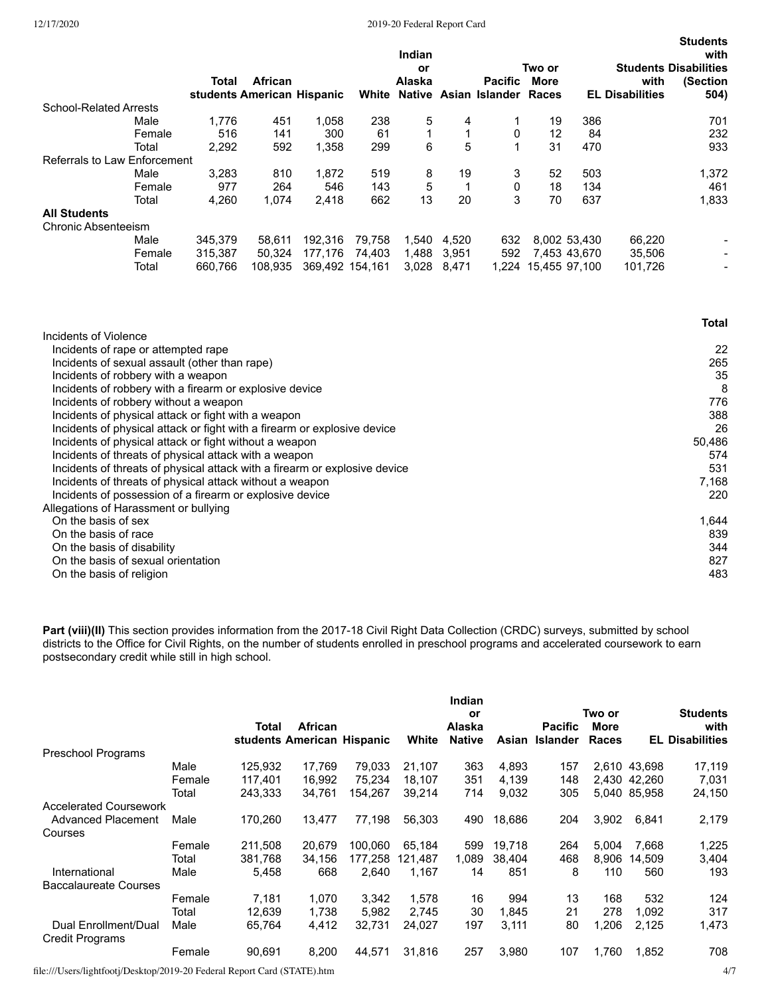|                               |        |         |                            |         |                 | Indian<br>Two or<br>or |         |                             |                     |              | with<br><b>Students Disabilities</b> |                          |  |
|-------------------------------|--------|---------|----------------------------|---------|-----------------|------------------------|---------|-----------------------------|---------------------|--------------|--------------------------------------|--------------------------|--|
|                               |        | Total   | <b>African</b>             |         |                 | Alaska                 |         | <b>Pacific</b>              | More                |              | with                                 | (Section                 |  |
| <b>School-Related Arrests</b> |        |         | students American Hispanic |         | White           |                        |         | Native Asian Islander Races |                     |              | <b>EL Disabilities</b>               | 504)                     |  |
|                               | Male   | 1.776   | 451                        | 1.058   | 238             | 5                      | 4       |                             | 19                  | 386          |                                      | 701                      |  |
|                               | Female | 516     | 141                        | 300     | 61              |                        |         | 0                           | 12                  | 84           |                                      | 232                      |  |
|                               | Total  | 2.292   | 592                        | 1,358   | 299             | 6                      | 5       |                             | 31                  | 470          |                                      | 933                      |  |
| Referrals to Law Enforcement  |        |         |                            |         |                 |                        |         |                             |                     |              |                                      |                          |  |
|                               | Male   | 3,283   | 810                        | 1,872   | 519             | 8                      | 19      | 3                           | 52                  | 503          |                                      | 1,372                    |  |
|                               | Female | 977     | 264                        | 546     | 143             | 5                      |         | 0                           | 18                  | 134          |                                      | 461                      |  |
|                               | Total  | 4.260   | 1.074                      | 2.418   | 662             | 13                     | 20      | 3                           | 70                  | 637          |                                      | 1,833                    |  |
| <b>All Students</b>           |        |         |                            |         |                 |                        |         |                             |                     |              |                                      |                          |  |
| <b>Chronic Absenteeism</b>    |        |         |                            |         |                 |                        |         |                             |                     |              |                                      |                          |  |
|                               | Male   | 345,379 | 58.611                     | 192.316 | 79.758          | 1.540                  | 4.520   | 632                         |                     | 8.002 53.430 | 66,220                               |                          |  |
|                               | Female | 315,387 | 50.324                     | 177.176 | 74.403          | 1,488                  | - 3.951 | 592                         |                     | 7,453 43,670 | 35,506                               |                          |  |
|                               | Total  | 660.766 | 108.935                    |         | 369.492 154.161 | 3,028                  | 8.471   |                             | 1.224 15.455 97.100 |              | 101.726                              | $\overline{\phantom{a}}$ |  |

|                                                                            | Total  |
|----------------------------------------------------------------------------|--------|
| Incidents of Violence                                                      |        |
| Incidents of rape or attempted rape                                        | 22     |
| Incidents of sexual assault (other than rape)                              | 265    |
| Incidents of robbery with a weapon                                         | 35     |
| Incidents of robbery with a firearm or explosive device                    | 8      |
| Incidents of robbery without a weapon                                      | 776    |
| Incidents of physical attack or fight with a weapon                        | 388    |
| Incidents of physical attack or fight with a firearm or explosive device   | 26     |
| Incidents of physical attack or fight without a weapon                     | 50,486 |
| Incidents of threats of physical attack with a weapon                      | 574    |
| Incidents of threats of physical attack with a firearm or explosive device | 531    |
| Incidents of threats of physical attack without a weapon                   | 7,168  |
| Incidents of possession of a firearm or explosive device                   | 220    |
| Allegations of Harassment or bullying                                      |        |
| On the basis of sex                                                        | 1,644  |
| On the basis of race                                                       | 839    |
| On the basis of disability                                                 | 344    |
| On the basis of sexual orientation                                         | 827    |
| On the basis of religion                                                   | 483    |
|                                                                            |        |

**Part (viii)(II)** This section provides information from the 2017-18 Civil Right Data Collection (CRDC) surveys, submitted by school districts to the Office for Civil Rights, on the number of students enrolled in preschool programs and accelerated coursework to earn postsecondary credit while still in high school.

|                                                |        | Total   | African<br>students American Hispanic |         | White   | Indian<br>or<br>Alaska<br><b>Native</b> | Asian  | <b>Pacific</b><br><b>Islander</b> | Two or<br>More<br>Races |              | <b>Students</b><br>with<br><b>EL Disabilities</b> |
|------------------------------------------------|--------|---------|---------------------------------------|---------|---------|-----------------------------------------|--------|-----------------------------------|-------------------------|--------------|---------------------------------------------------|
| Preschool Programs                             |        |         |                                       |         |         |                                         |        |                                   |                         |              |                                                   |
|                                                | Male   | 125,932 | 17.769                                | 79.033  | 21,107  | 363                                     | 4,893  | 157                               |                         | 2,610 43,698 | 17,119                                            |
|                                                | Female | 117.401 | 16.992                                | 75.234  | 18.107  | 351                                     | 4,139  | 148                               |                         | 2.430 42.260 | 7,031                                             |
|                                                | Total  | 243.333 | 34.761                                | 154.267 | 39.214  | 714                                     | 9,032  | 305                               |                         | 5.040 85.958 | 24,150                                            |
| <b>Accelerated Coursework</b>                  |        |         |                                       |         |         |                                         |        |                                   |                         |              |                                                   |
| <b>Advanced Placement</b>                      | Male   | 170,260 | 13.477                                | 77.198  | 56,303  | 490                                     | 18,686 | 204                               | 3,902                   | 6,841        | 2,179                                             |
| Courses                                        |        |         |                                       |         |         |                                         |        |                                   |                         |              |                                                   |
|                                                | Female | 211.508 | 20.679                                | 100.060 | 65.184  | 599                                     | 19.718 | 264                               | 5.004                   | 7.668        | 1,225                                             |
|                                                | Total  | 381,768 | 34.156                                | 177.258 | 121.487 | 1,089                                   | 38.404 | 468                               | 8.906                   | 14.509       | 3,404                                             |
| International                                  | Male   | 5,458   | 668                                   | 2.640   | 1.167   | 14                                      | 851    | 8                                 | 110                     | 560          | 193                                               |
| Baccalaureate Courses                          |        |         |                                       |         |         |                                         |        |                                   |                         |              |                                                   |
|                                                | Female | 7.181   | 1.070                                 | 3.342   | 1.578   | 16                                      | 994    | 13                                | 168                     | 532          | 124                                               |
|                                                | Total  | 12,639  | 1,738                                 | 5,982   | 2,745   | 30                                      | 1,845  | 21                                | 278                     | 1,092        | 317                                               |
| Dual Enrollment/Dual<br><b>Credit Programs</b> | Male   | 65,764  | 4,412                                 | 32,731  | 24,027  | 197                                     | 3,111  | 80                                | 1,206                   | 2,125        | 1,473                                             |
|                                                | Female | 90.691  | 8.200                                 | 44.571  | 31,816  | 257                                     | 3,980  | 107                               | 1.760                   | 1.852        | 708                                               |

file:///Users/lightfootj/Desktop/2019-20 Federal Report Card (STATE).htm 4/7

**Students**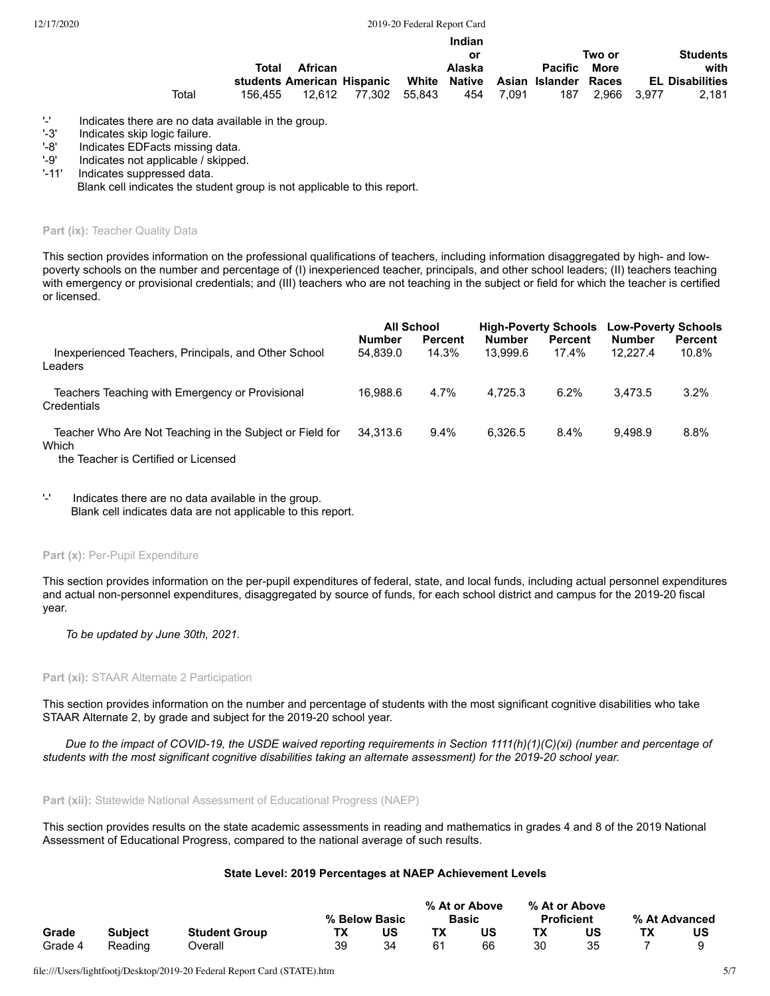|       |         |                                                              |               | Indian |       |              |             |                        |
|-------|---------|--------------------------------------------------------------|---------------|--------|-------|--------------|-------------|------------------------|
|       |         |                                                              |               | or     |       |              | Two or      | <b>Students</b>        |
|       | Total   | African                                                      |               | Alaska |       | Pacific More |             | with                   |
|       |         | students American Hispanic White Native Asian Islander Races |               |        |       |              |             | <b>EL Disabilities</b> |
| Total | 156.455 | 12.612                                                       | 77,302 55,843 | 454    | 7.091 | 187          | 2.966 3.977 | 2.181                  |

'-' Indicates there are no data available in the group.<br>'-3' Indicates skip logic failure.

'-3' Indicates skip logic failure.<br>'-8' Indicates EDFacts missing

'-8' Indicates EDFacts missing data.<br>'-9' Indicates not applicable / skipped

'-9' Indicates not applicable / skipped.<br>'-11' Indicates suppressed data.

Indicates suppressed data.

Blank cell indicates the student group is not applicable to this report.

Part (ix): Teacher Quality Data

This section provides information on the professional qualifications of teachers, including information disaggregated by high- and lowpoverty schools on the number and percentage of (I) inexperienced teacher, principals, and other school leaders; (II) teachers teaching with emergency or provisional credentials; and (III) teachers who are not teaching in the subject or field for which the teacher is certified or licensed.

|                                                                   | <b>All School</b> |                |               | <b>High-Poverty Schools</b> | <b>Low-Poverty Schools</b> |                |  |
|-------------------------------------------------------------------|-------------------|----------------|---------------|-----------------------------|----------------------------|----------------|--|
|                                                                   | <b>Number</b>     | <b>Percent</b> | <b>Number</b> | <b>Percent</b>              | <b>Number</b>              | <b>Percent</b> |  |
| Inexperienced Teachers, Principals, and Other School<br>Leaders   | 54.839.0          | 14.3%          | 13.999.6      | $17.4\%$                    | 12.227.4                   | 10.8%          |  |
| Teachers Teaching with Emergency or Provisional<br>Credentials    | 16.988.6          | 4.7%           | 4.725.3       | 6.2%                        | 3.473.5                    | 3.2%           |  |
| Teacher Who Are Not Teaching in the Subject or Field for<br>Which | 34.313.6          | $9.4\%$        | 6.326.5       | 8.4%                        | 9.498.9                    | 8.8%           |  |

the Teacher is Certified or Licensed

'-' Indicates there are no data available in the group. Blank cell indicates data are not applicable to this report.

#### Part (x): Per-Pupil Expenditure

This section provides information on the per-pupil expenditures of federal, state, and local funds, including actual personnel expenditures and actual non-personnel expenditures, disaggregated by source of funds, for each school district and campus for the 2019-20 fiscal year.

*To be updated by June 30th, 2021.*

## **Part (xi):** STAAR Alternate 2 Participation

This section provides information on the number and percentage of students with the most significant cognitive disabilities who take STAAR Alternate 2, by grade and subject for the 2019-20 school year.

*Due to the impact of COVID-19, the USDE waived reporting requirements in Section 1111(h)(1)(C)(xi) (number and percentage of students with the most significant cognitive disabilities taking an alternate assessment) for the 2019-20 school year.*

**Part (xii):** Statewide National Assessment of Educational Progress (NAEP)

This section provides results on the state academic assessments in reading and mathematics in grades 4 and 8 of the 2019 National Assessment of Educational Progress, compared to the national average of such results.

# **State Level: 2019 Percentages at NAEP Achievement Levels**

| Grade   |                |                      |    | % Below Basic |    | % At or Above<br><b>Basic</b> |    | % At or Above<br><b>Proficient</b> | % At Advanced |
|---------|----------------|----------------------|----|---------------|----|-------------------------------|----|------------------------------------|---------------|
|         | <b>Subject</b> | <b>Student Group</b> | TХ | บร            |    | US                            |    | บร                                 | US            |
| Grade 4 | Reading        | ⊃verall              | 39 |               | 61 | 66                            | 30 |                                    |               |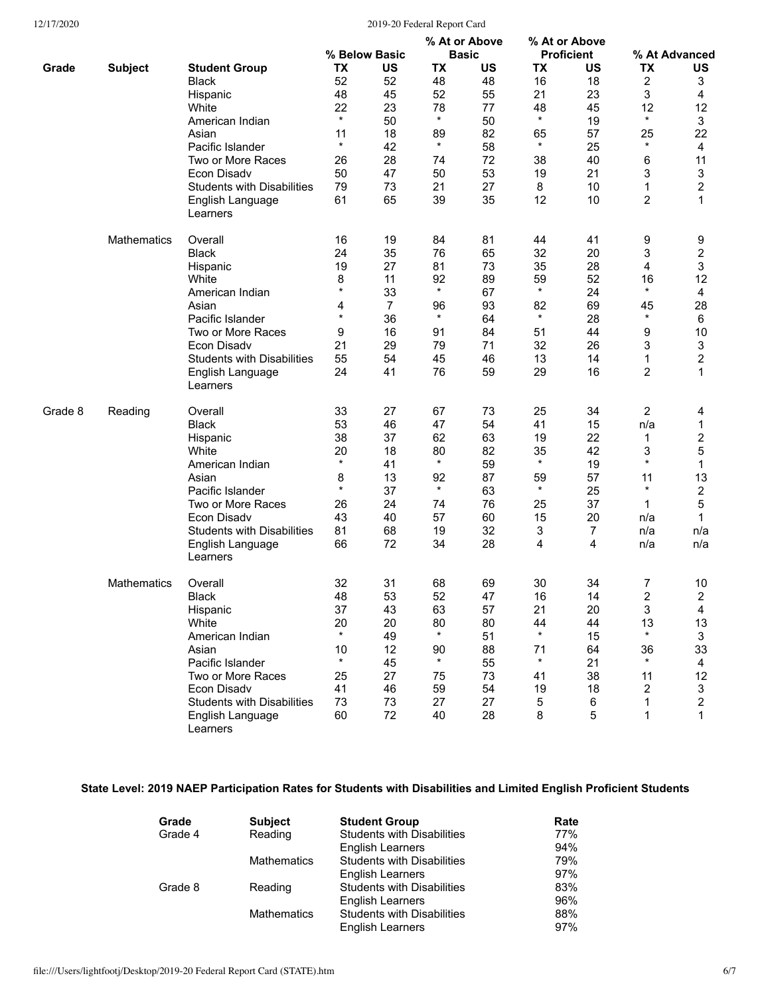|         |                |                                   | % Below Basic |                | % At or Above |              | % At or Above |                   | % At Advanced  |                         |
|---------|----------------|-----------------------------------|---------------|----------------|---------------|--------------|---------------|-------------------|----------------|-------------------------|
|         |                |                                   |               |                |               | <b>Basic</b> |               | <b>Proficient</b> |                |                         |
| Grade   | <b>Subject</b> | <b>Student Group</b>              | TX            | US             | TX            | US           | TX            | US                | TX             | US                      |
|         |                | <b>Black</b>                      | 52            | 52             | 48            | 48           | 16            | 18                | 2              | 3                       |
|         |                | Hispanic                          | 48            | 45             | 52            | 55           | 21            | 23                | 3              | 4                       |
|         |                | White                             | 22            | 23             | 78            | 77           | 48            | 45                | 12             | 12                      |
|         |                | American Indian                   | $\star$       | 50             | $\star$       | 50           | $\star$       | 19                | $\star$        | 3                       |
|         |                | Asian                             | 11            | 18             | 89            | 82           | 65            | 57                | 25             | 22                      |
|         |                | Pacific Islander                  | $\star$       | 42             | $\star$       | 58           | $\star$       | 25                | $\star$        | 4                       |
|         |                |                                   |               |                |               |              |               |                   |                |                         |
|         |                | Two or More Races                 | 26            | 28             | 74            | 72           | 38            | 40                | 6              | 11                      |
|         |                | Econ Disadv                       | 50            | 47             | 50            | 53           | 19            | 21                | 3              | 3                       |
|         |                | <b>Students with Disabilities</b> | 79            | 73             | 21            | 27           | 8             | 10                | 1              | $\overline{2}$          |
|         |                | English Language<br>Learners      | 61            | 65             | 39            | 35           | 12            | 10                | $\overline{2}$ | 1                       |
|         | Mathematics    | Overall                           | 16            | 19             | 84            | 81           | 44            | 41                | 9              | 9                       |
|         |                | <b>Black</b>                      | 24            | 35             | 76            | 65           | 32            | 20                | 3              | $\overline{\mathbf{c}}$ |
|         |                | Hispanic                          | 19            | 27             | 81            | 73           | 35            | 28                | 4              | 3                       |
|         |                | White                             | 8             | 11             | 92            | 89           | 59            | 52                | 16             | 12                      |
|         |                | American Indian                   | $\star$       | 33             | $\star$       | 67           | $\star$       | 24                | $\star$        | 4                       |
|         |                |                                   |               |                |               | 93           |               |                   |                |                         |
|         |                | Asian                             | 4<br>$\star$  | $\overline{7}$ | 96<br>$\star$ |              | 82<br>$\star$ | 69                | 45<br>$\star$  | 28                      |
|         |                | Pacific Islander                  |               | 36             |               | 64           |               | 28                |                | 6                       |
|         |                | Two or More Races                 | 9             | 16             | 91            | 84           | 51            | 44                | 9              | 10                      |
|         |                | Econ Disadv                       | 21            | 29             | 79            | 71           | 32            | 26                | 3              | 3                       |
|         |                | <b>Students with Disabilities</b> | 55            | 54             | 45            | 46           | 13            | 14                | 1              | $\overline{\mathbf{c}}$ |
|         |                | English Language<br>Learners      | 24            | 41             | 76            | 59           | 29            | 16                | $\overline{2}$ | 1                       |
| Grade 8 | Reading        | Overall                           | 33            | 27             | 67            | 73           | 25            | 34                | $\overline{2}$ | 4                       |
|         |                | <b>Black</b>                      | 53            | 46             | 47            | 54           | 41            | 15                | n/a            | 1                       |
|         |                | Hispanic                          | 38            | 37             | 62            | 63           | 19            | 22                | 1              | $\mathbf 2$             |
|         |                | White                             | 20            | 18             | 80            | 82           | 35            | 42                | 3              | 5                       |
|         |                | American Indian                   | $\star$       | 41             | $\star$       | 59           | $\star$       | 19                | $\star$        | 1                       |
|         |                |                                   |               |                |               |              |               |                   |                |                         |
|         |                | Asian                             | 8<br>$\star$  | 13             | 92<br>$\star$ | 87           | 59<br>$\star$ | 57                | 11<br>$\star$  | 13                      |
|         |                | Pacific Islander                  |               | 37             |               | 63           |               | 25                |                | $\overline{\mathbf{c}}$ |
|         |                | Two or More Races                 | 26            | 24             | 74            | 76           | 25            | 37                | 1              | 5                       |
|         |                | Econ Disadv                       | 43            | 40             | 57            | 60           | 15            | 20                | n/a            | 1                       |
|         |                | <b>Students with Disabilities</b> | 81            | 68             | 19            | 32           | 3             | $\overline{7}$    | n/a            | n/a                     |
|         |                | English Language<br>Learners      | 66            | 72             | 34            | 28           | 4             | 4                 | n/a            | n/a                     |
|         | Mathematics    | Overall                           | 32            | 31             | 68            | 69           | 30            | 34                | 7              | 10                      |
|         |                | <b>Black</b>                      | 48            | 53             | 52            | 47           | 16            | 14                | $\overline{2}$ | $\overline{2}$          |
|         |                | Hispanic                          | 37            | 43             | 63            | 57           | 21            | 20                | 3              | 4                       |
|         |                | White                             | 20            | 20             | 80            | 80           | 44            | 44                | 13             | 13                      |
|         |                | American Indian                   | $\star$       | 49             |               | 51           | $\star$       | 15                | $^\star$       | 3                       |
|         |                | Asian                             | 10            | 12             | 90            | 88           | 71            | 64                | 36             | 33                      |
|         |                | Pacific Islander                  | $\star$       | 45             |               | 55           | $\star$       | 21                | $\star$        | 4                       |
|         |                | Two or More Races                 | 25            | 27             | 75            | 73           | 41            | 38                | 11             | 12                      |
|         |                |                                   |               |                |               |              |               |                   |                |                         |
|         |                | Econ Disadv                       | 41            | 46             | 59            | 54           | 19            | 18                | 2              | 3                       |
|         |                | <b>Students with Disabilities</b> | 73            | 73             | 27            | 27           | 5             | 6                 | 1              | $\overline{2}$          |
|         |                | English Language<br>Learners      | 60            | 72             | 40            | 28           | 8             | 5                 | 1              | 1                       |

# **State Level: 2019 NAEP Participation Rates for Students with Disabilities and Limited English Proficient Students**

| Grade   | <b>Subject</b>     | <b>Student Group</b>              | Rate |
|---------|--------------------|-----------------------------------|------|
| Grade 4 | Reading            | <b>Students with Disabilities</b> | 77%  |
|         |                    | <b>English Learners</b>           | 94%  |
|         | <b>Mathematics</b> | <b>Students with Disabilities</b> | 79%  |
|         |                    | <b>English Learners</b>           | 97%  |
| Grade 8 | Reading            | <b>Students with Disabilities</b> | 83%  |
|         |                    | <b>English Learners</b>           | 96%  |
|         | <b>Mathematics</b> | <b>Students with Disabilities</b> | 88%  |
|         |                    | <b>English Learners</b>           | 97%  |